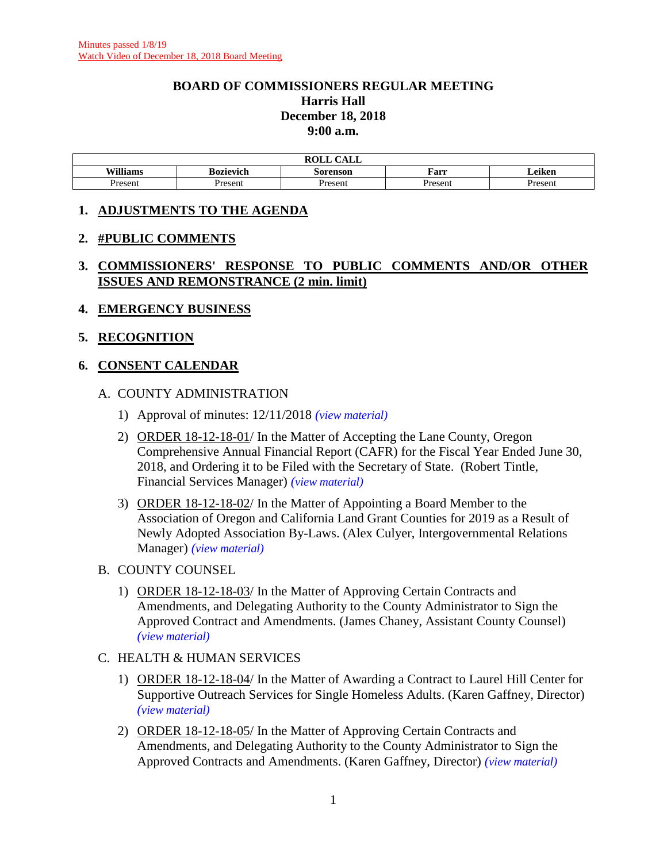#### **BOARD OF COMMISSIONERS REGULAR MEETING Harris Hall December 18, 2018 9:00 a.m.**

| $\bigcap$ $\bigcap$ $\bigcap$<br>ROL I<br>re |                                                             |                |         |         |  |  |
|----------------------------------------------|-------------------------------------------------------------|----------------|---------|---------|--|--|
| Williams                                     | $\cdot$ .<br>Farr<br><b>Bozievich</b><br>∠eiken<br>Sorenson |                |         |         |  |  |
| Presen                                       | Present                                                     | <b>Present</b> | Present | Present |  |  |

#### **1. ADJUSTMENTS TO THE AGENDA**

#### **2. #PUBLIC COMMENTS**

## **3. COMMISSIONERS' RESPONSE TO PUBLIC COMMENTS AND/OR OTHER ISSUES AND REMONSTRANCE (2 min. limit)**

#### **4. EMERGENCY BUSINESS**

#### **5. RECOGNITION**

## **6. CONSENT CALENDAR**

## A. COUNTY ADMINISTRATION

- 1) Approval of minutes: 12/11/2018 *(view [material\)](http://www.lanecounty.org/UserFiles/Servers/Server_3585797/File/Government/BCC/2018/2018_AGENDAS/121818agenda/T.6.A.1.pdf)*
- 2) ORDER 18-12-18-01/ In the Matter of Accepting the Lane County, Oregon Comprehensive Annual Financial Report (CAFR) for the Fiscal Year Ended June 30, 2018, and Ordering it to be Filed with the Secretary of State. (Robert Tintle, Financial Services Manager) *(view [material\)](http://www.lanecounty.org/UserFiles/Servers/Server_3585797/File/Government/BCC/2018/2018_AGENDAS/121818agenda/T.6.A.2.pdf)*
- 3) ORDER 18-12-18-02/ In the Matter of Appointing a Board Member to the Association of Oregon and California Land Grant Counties for 2019 as a Result of Newly Adopted Association By-Laws. (Alex Culyer, Intergovernmental Relations Manager) *(view [material\)](http://www.lanecounty.org/UserFiles/Servers/Server_3585797/File/Government/BCC/2018/2018_AGENDAS/121818agenda/T.6.A.3.pdf)*
- B. COUNTY COUNSEL
	- 1) ORDER 18-12-18-03/ In the Matter of Approving Certain Contracts and Amendments, and Delegating Authority to the County Administrator to Sign the Approved Contract and Amendments. (James Chaney, Assistant County Counsel) *(view [material\)](http://www.lanecounty.org/UserFiles/Servers/Server_3585797/File/Government/BCC/2018/2018_AGENDAS/121818agenda/T.6.B.1.pdf)*
- C. HEALTH & HUMAN SERVICES
	- 1) ORDER 18-12-18-04/ In the Matter of Awarding a Contract to Laurel Hill Center for Supportive Outreach Services for Single Homeless Adults. (Karen Gaffney, Director) *(view [material\)](http://www.lanecounty.org/UserFiles/Servers/Server_3585797/File/Government/BCC/2018/2018_AGENDAS/121818agenda/T.6.C.1.pdf)*
	- 2) ORDER 18-12-18-05/ In the Matter of Approving Certain Contracts and Amendments, and Delegating Authority to the County Administrator to Sign the Approved Contracts and Amendments. (Karen Gaffney, Director) *(view [material\)](http://www.lanecounty.org/UserFiles/Servers/Server_3585797/File/Government/BCC/2018/2018_AGENDAS/121818agenda/T.6.C.2.pdf)*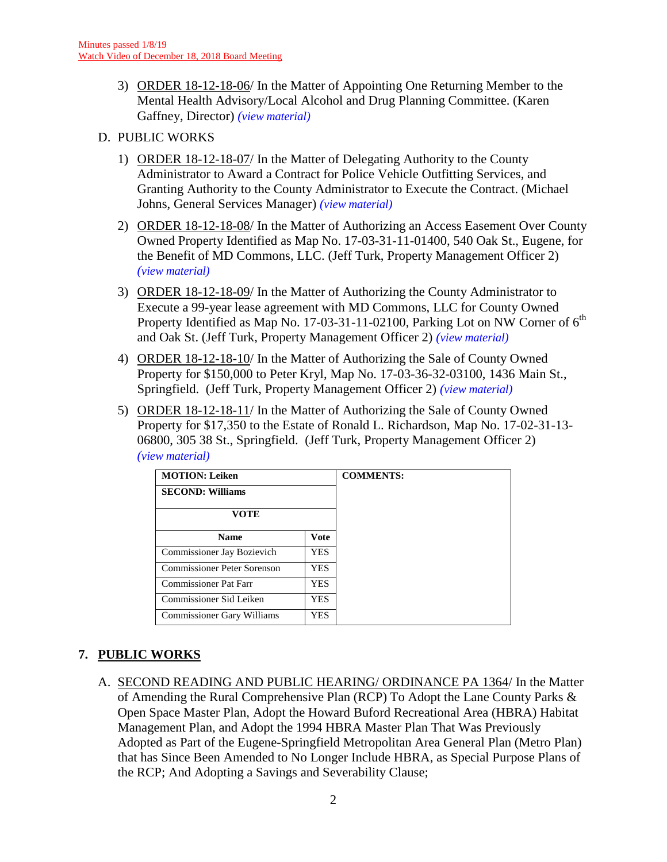3) ORDER 18-12-18-06/ In the Matter of Appointing One Returning Member to the Mental Health Advisory/Local Alcohol and Drug Planning Committee. (Karen Gaffney, Director) *(view [material\)](http://www.lanecounty.org/UserFiles/Servers/Server_3585797/File/Government/BCC/2018/2018_AGENDAS/121818agenda/T.6.C.3.pdf)*

## D. PUBLIC WORKS

- 1) ORDER 18-12-18-07/ In the Matter of Delegating Authority to the County Administrator to Award a Contract for Police Vehicle Outfitting Services, and Granting Authority to the County Administrator to Execute the Contract. (Michael Johns, General Services Manager) *(view [material\)](http://www.lanecounty.org/UserFiles/Servers/Server_3585797/File/Government/BCC/2018/2018_AGENDAS/121818agenda/T.6.D.1.pdf)*
- 2) ORDER 18-12-18-08/ In the Matter of Authorizing an Access Easement Over County Owned Property Identified as Map No. 17-03-31-11-01400, 540 Oak St., Eugene, for the Benefit of MD Commons, LLC. (Jeff Turk, Property Management Officer 2) *(view [material\)](http://www.lanecounty.org/UserFiles/Servers/Server_3585797/File/Government/BCC/2018/2018_AGENDAS/121818agenda/T.6.D.2.pdf)*
- 3) ORDER 18-12-18-09/ In the Matter of Authorizing the County Administrator to Execute a 99-year lease agreement with MD Commons, LLC for County Owned Property Identified as Map No. 17-03-31-11-02100, Parking Lot on NW Corner of  $6<sup>th</sup>$ and Oak St. (Jeff Turk, Property Management Officer 2) *(view [material\)](http://www.lanecounty.org/UserFiles/Servers/Server_3585797/File/Government/BCC/2018/2018_AGENDAS/121818agenda/T.6.D.3.pdf)*
- 4) ORDER 18-12-18-10/ In the Matter of Authorizing the Sale of County Owned Property for \$150,000 to Peter Kryl, Map No. 17-03-36-32-03100, 1436 Main St., Springfield. (Jeff Turk, Property Management Officer 2) *(view [material\)](http://www.lanecounty.org/UserFiles/Servers/Server_3585797/File/Government/BCC/2018/2018_AGENDAS/121818agenda/T.6.D.4.pdf)*
- 5) ORDER 18-12-18-11/ In the Matter of Authorizing the Sale of County Owned Property for \$17,350 to the Estate of Ronald L. Richardson, Map No. 17-02-31-13- 06800, 305 38 St., Springfield. (Jeff Turk, Property Management Officer 2) *(view [material\)](http://www.lanecounty.org/UserFiles/Servers/Server_3585797/File/Government/BCC/2018/2018_AGENDAS/121818agenda/T.6.D.5.pdf)*

| <b>MOTION: Leiken</b>               |            | <b>COMMENTS:</b> |
|-------------------------------------|------------|------------------|
| <b>SECOND: Williams</b>             |            |                  |
| VOTE                                |            |                  |
| Vote<br><b>Name</b>                 |            |                  |
| Commissioner Jay Bozievich          | <b>YES</b> |                  |
| Commissioner Peter Sorenson         | <b>YES</b> |                  |
| <b>Commissioner Pat Farr</b><br>YES |            |                  |
| Commissioner Sid Leiken             | <b>YES</b> |                  |
| Commissioner Gary Williams          | <b>YES</b> |                  |

## **7. PUBLIC WORKS**

A. SECOND READING AND PUBLIC HEARING/ ORDINANCE PA 1364/ In the Matter of Amending the Rural Comprehensive Plan (RCP) To Adopt the Lane County Parks & Open Space Master Plan, Adopt the Howard Buford Recreational Area (HBRA) Habitat Management Plan, and Adopt the 1994 HBRA Master Plan That Was Previously Adopted as Part of the Eugene-Springfield Metropolitan Area General Plan (Metro Plan) that has Since Been Amended to No Longer Include HBRA, as Special Purpose Plans of the RCP; And Adopting a Savings and Severability Clause;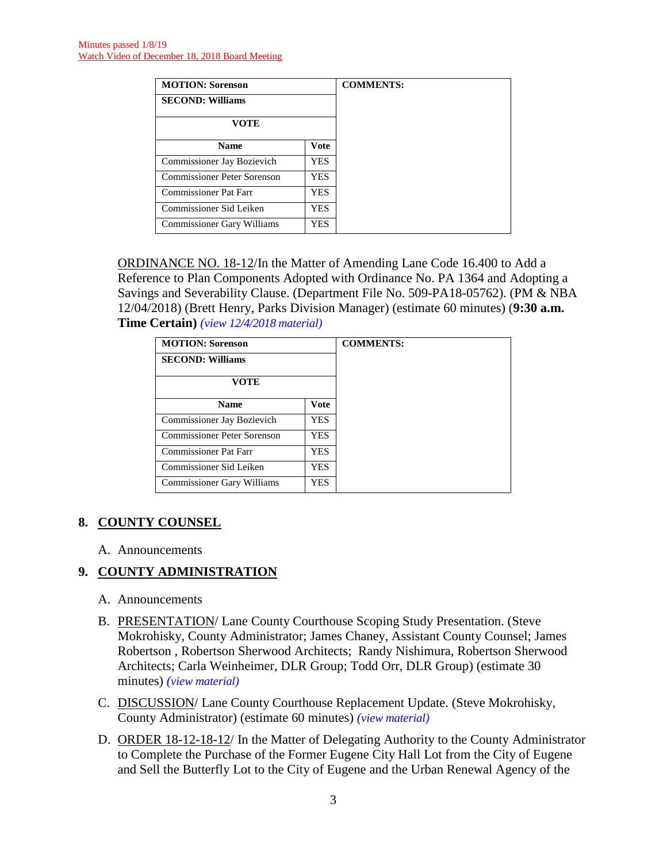| <b>MOTION: Sorenson</b>           |            |  |
|-----------------------------------|------------|--|
| <b>SECOND: Williams</b>           |            |  |
| <b>VOTE</b>                       |            |  |
| Vote<br><b>Name</b>               |            |  |
| Commissioner Jay Bozievich        | <b>YES</b> |  |
| Commissioner Peter Sorenson       | <b>YES</b> |  |
| <b>Commissioner Pat Farr</b>      | <b>YES</b> |  |
| Commissioner Sid Leiken           | <b>YES</b> |  |
| <b>Commissioner Gary Williams</b> | <b>YES</b> |  |

ORDINANCE NO. 18-12/In the Matter of Amending Lane Code 16.400 to Add a Reference to Plan Components Adopted with Ordinance No. PA 1364 and Adopting a Savings and Severability Clause. (Department File No. 509-PA18-05762). (PM & NBA 12/04/2018) (Brett Henry, Parks Division Manager) (estimate 60 minutes) (**9:30 a.m. Time Certain)** *(view [12/4/2018 material\)](http://www.lanecounty.org/UserFiles/Servers/Server_3585797/File/Government/BCC/2018/2018_AGENDAS/120418agenda/T.13.A.pdf)*

| <b>MOTION: Sorenson</b>                   |      | <b>COMMENTS:</b> |
|-------------------------------------------|------|------------------|
| <b>SECOND: Williams</b>                   |      |                  |
| VOTE                                      |      |                  |
| <b>Name</b>                               | Vote |                  |
| Commissioner Jay Bozievich                | YES  |                  |
| <b>Commissioner Peter Sorenson</b>        | YES. |                  |
| Commissioner Pat Farr                     | YES  |                  |
| Commissioner Sid Leiken                   | YES  |                  |
| <b>Commissioner Gary Williams</b><br>YES. |      |                  |

## **8. COUNTY COUNSEL**

A. Announcements

## **9. COUNTY ADMINISTRATION**

- A. Announcements
- B. PRESENTATION/ Lane County Courthouse Scoping Study Presentation. (Steve Mokrohisky, County Administrator; James Chaney, Assistant County Counsel; James Robertson , Robertson Sherwood Architects; Randy Nishimura, Robertson Sherwood Architects; Carla Weinheimer, DLR Group; Todd Orr, DLR Group) (estimate 30 minutes) *(view [material\)](http://www.lanecounty.org/UserFiles/Servers/Server_3585797/File/Government/BCC/2018/2018_AGENDAS/121818agenda/T.9.B.pdf)*
- C. DISCUSSION/ Lane County Courthouse Replacement Update. (Steve Mokrohisky, County Administrator) (estimate 60 minutes) *(view [material\)](http://www.lanecounty.org/UserFiles/Servers/Server_3585797/File/Government/BCC/2018/2018_AGENDAS/121818agenda/T.9.C.pdf)*
- D. ORDER 18-12-18-12/ In the Matter of Delegating Authority to the County Administrator to Complete the Purchase of the Former Eugene City Hall Lot from the City of Eugene and Sell the Butterfly Lot to the City of Eugene and the Urban Renewal Agency of the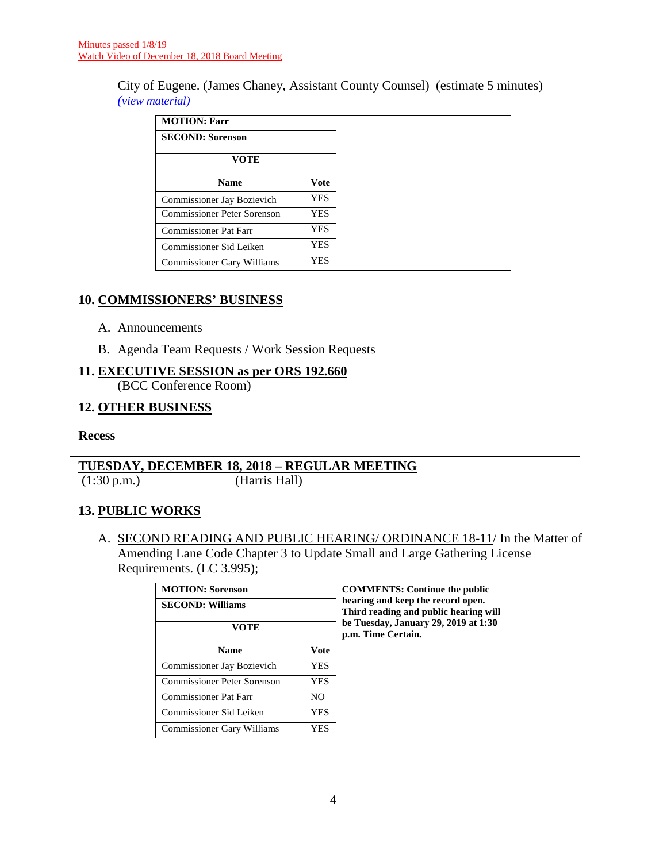City of Eugene. (James Chaney, Assistant County Counsel) (estimate 5 minutes) *(view [material\)](http://www.lanecounty.org/UserFiles/Servers/Server_3585797/File/Government/BCC/2018/2018_AGENDAS/121818agenda/T.9.D.pdf)*

| <b>MOTION: Farr</b>               |            |
|-----------------------------------|------------|
| <b>SECOND: Sorenson</b>           |            |
| VOTE                              |            |
| Vote<br><b>Name</b>               |            |
| <b>Commissioner Jay Bozievich</b> | YES.       |
| Commissioner Peter Sorenson       | YES.       |
| <b>Commissioner Pat Farr</b>      | YES        |
| Commissioner Sid Leiken           | <b>YES</b> |
| <b>Commissioner Gary Williams</b> | YES.       |

## **10. COMMISSIONERS' BUSINESS**

- A. Announcements
- B. Agenda Team Requests / Work Session Requests

#### **11. EXECUTIVE SESSION as per ORS 192.660**

(BCC Conference Room)

#### **12. OTHER BUSINESS**

#### **Recess**

## **TUESDAY, DECEMBER 18, 2018 – REGULAR MEETING**

(1:30 p.m.) (Harris Hall)

## **13. PUBLIC WORKS**

A. SECOND READING AND PUBLIC HEARING/ ORDINANCE 18-11/ In the Matter of Amending Lane Code Chapter 3 to Update Small and Large Gathering License Requirements. (LC 3.995);

| <b>MOTION: Sorenson</b>                         | <b>COMMENTS: Continue the public</b>                                       |                                                            |
|-------------------------------------------------|----------------------------------------------------------------------------|------------------------------------------------------------|
| <b>SECOND: Williams</b>                         | hearing and keep the record open.<br>Third reading and public hearing will |                                                            |
| VOTE                                            |                                                                            | be Tuesday, January 29, 2019 at 1:30<br>p.m. Time Certain. |
| <b>Name</b>                                     | <b>Vote</b>                                                                |                                                            |
| Commissioner Jay Bozievich                      | <b>YES</b>                                                                 |                                                            |
| Commissioner Peter Sorenson<br><b>YES</b>       |                                                                            |                                                            |
| <b>Commissioner Pat Farr</b><br>N <sub>O</sub>  |                                                                            |                                                            |
| Commissioner Sid Leiken                         | YES                                                                        |                                                            |
| <b>Commissioner Gary Williams</b><br><b>YES</b> |                                                                            |                                                            |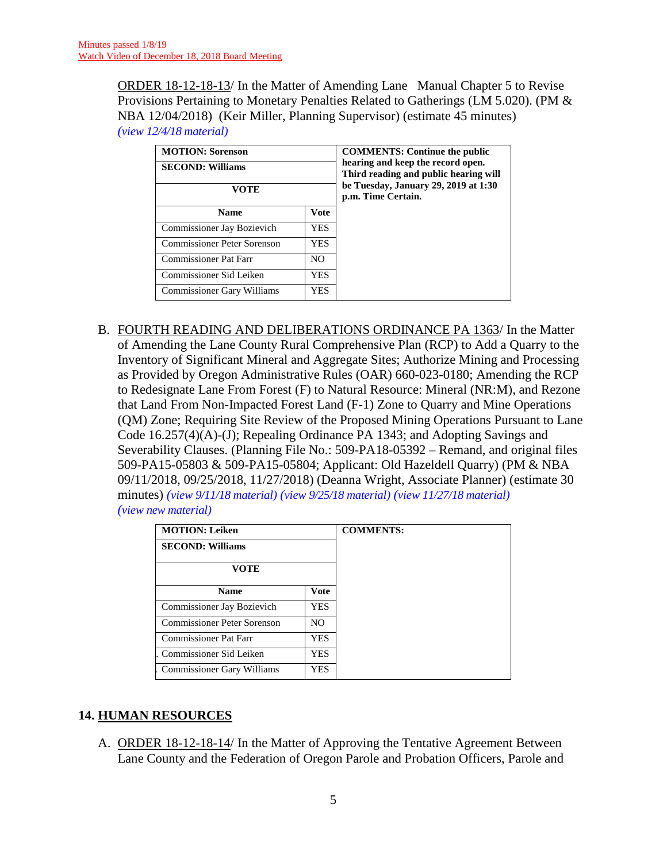ORDER 18-12-18-13/ In the Matter of Amending Lane Manual Chapter 5 to Revise Provisions Pertaining to Monetary Penalties Related to Gatherings (LM 5.020). (PM & NBA 12/04/2018) (Keir Miller, Planning Supervisor) (estimate 45 minutes) *(view [12/4/18 material\)](http://www.lanecounty.org/UserFiles/Servers/Server_3585797/File/Government/BCC/2018/2018_AGENDAS/120418agenda/T.13.B.pdf)*

| <b>MOTION: Sorenson</b>                   |            | <b>COMMENTS: Continue the public</b><br>hearing and keep the record open.<br>Third reading and public hearing will<br>be Tuesday, January 29, 2019 at 1:30<br>p.m. Time Certain. |
|-------------------------------------------|------------|----------------------------------------------------------------------------------------------------------------------------------------------------------------------------------|
| <b>SECOND: Williams</b>                   |            |                                                                                                                                                                                  |
| VOTE                                      |            |                                                                                                                                                                                  |
| <b>Name</b>                               | Vote       |                                                                                                                                                                                  |
| Commissioner Jay Bozievich                | <b>YES</b> |                                                                                                                                                                                  |
| Commissioner Peter Sorenson<br><b>YES</b> |            |                                                                                                                                                                                  |
| Commissioner Pat Farr<br>N <sub>O</sub>   |            |                                                                                                                                                                                  |
| Commissioner Sid Leiken<br>YES            |            |                                                                                                                                                                                  |
| <b>Commissioner Gary Williams</b><br>YES. |            |                                                                                                                                                                                  |

B. FOURTH READING AND DELIBERATIONS ORDINANCE PA 1363/ In the Matter of Amending the Lane County Rural Comprehensive Plan (RCP) to Add a Quarry to the Inventory of Significant Mineral and Aggregate Sites; Authorize Mining and Processing as Provided by Oregon Administrative Rules (OAR) 660-023-0180; Amending the RCP to Redesignate Lane From Forest (F) to Natural Resource: Mineral (NR:M), and Rezone that Land From Non-Impacted Forest Land (F-1) Zone to Quarry and Mine Operations (QM) Zone; Requiring Site Review of the Proposed Mining Operations Pursuant to Lane Code 16.257(4)(A)-(J); Repealing Ordinance PA 1343; and Adopting Savings and Severability Clauses. (Planning File No.: 509-PA18-05392 – Remand, and original files 509-PA15-05803 & 509-PA15-05804; Applicant: Old Hazeldell Quarry) (PM & NBA 09/11/2018, 09/25/2018, 11/27/2018) (Deanna Wright, Associate Planner) (estimate 30 minutes) *(view [9/11/18 material\)](http://www.lanecounty.org/UserFiles/Servers/Server_3585797/File/Government/BCC/2018/2018_AGENDAS/091118agenda/T.9.A.pdf) (view [9/25/18 material\)](http://www.lanecounty.org/UserFiles/Servers/Server_3585797/File/Government/BCC/2018/2018_AGENDAS/092518agenda/T.12.A.pdf) (view 11/27/18 [material\)](http://www.lanecounty.org/UserFiles/Servers/Server_3585797/File/Government/BCC/2018/2018_AGENDAS/112718agenda/T.13.C.pdf) (view new [material\)](http://www.lanecounty.org/UserFiles/Servers/Server_3585797/File/Government/BCC/2018/2018_AGENDAS/121818agenda/T.13.B.pdf)*

| <b>MOTION: Leiken</b>                    |     | <b>COMMENTS:</b> |
|------------------------------------------|-----|------------------|
| <b>SECOND: Williams</b>                  |     |                  |
| VOTE                                     |     |                  |
| Vote<br><b>Name</b>                      |     |                  |
| Commissioner Jay Bozievich               | YES |                  |
| Commissioner Peter Sorenson              | NO. |                  |
| <b>Commissioner Pat Farr</b><br>YES.     |     |                  |
| Commissioner Sid Leiken<br><b>YES</b>    |     |                  |
| <b>Commissioner Gary Williams</b><br>YES |     |                  |

## **14. HUMAN RESOURCES**

A. ORDER 18-12-18-14/ In the Matter of Approving the Tentative Agreement Between Lane County and the Federation of Oregon Parole and Probation Officers, Parole and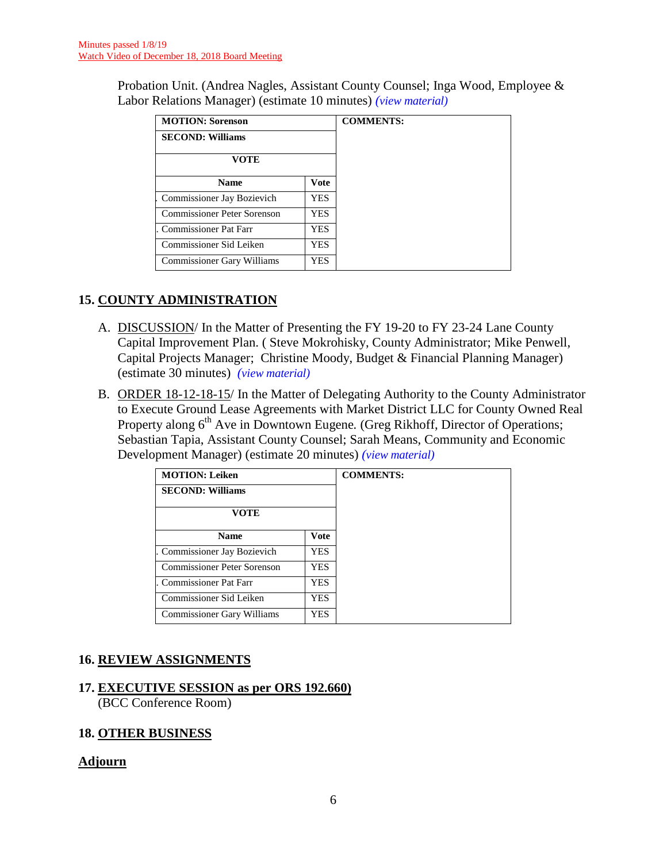Probation Unit. (Andrea Nagles, Assistant County Counsel; Inga Wood, Employee & Labor Relations Manager) (estimate 10 minutes) *(view [material\)](http://www.lanecounty.org/UserFiles/Servers/Server_3585797/File/Government/BCC/2018/2018_AGENDAS/121818agenda/T.14.A.pdf)*

| <b>MOTION: Sorenson</b>     |             | <b>COMMENTS:</b> |
|-----------------------------|-------------|------------------|
| <b>SECOND: Williams</b>     |             |                  |
| <b>VOTE</b>                 |             |                  |
| <b>Name</b>                 | <b>Vote</b> |                  |
| Commissioner Jay Bozievich  | YES         |                  |
| Commissioner Peter Sorenson | YES.        |                  |
| Commissioner Pat Farr       | YES         |                  |
| Commissioner Sid Leiken     | YES         |                  |
| Commissioner Gary Williams  | YES         |                  |

## **15. COUNTY ADMINISTRATION**

- A. DISCUSSION/ In the Matter of Presenting the FY 19-20 to FY 23-24 Lane County Capital Improvement Plan. ( Steve Mokrohisky, County Administrator; Mike Penwell, Capital Projects Manager; Christine Moody, Budget & Financial Planning Manager) (estimate 30 minutes) *(view [material\)](http://www.lanecounty.org/UserFiles/Servers/Server_3585797/File/Government/BCC/2018/2018_AGENDAS/121818agenda/T.15.A.pdf)*
- B. ORDER 18-12-18-15/ In the Matter of Delegating Authority to the County Administrator to Execute Ground Lease Agreements with Market District LLC for County Owned Real Property along 6<sup>th</sup> Ave in Downtown Eugene. (Greg Rikhoff, Director of Operations; Sebastian Tapia, Assistant County Counsel; Sarah Means, Community and Economic Development Manager) (estimate 20 minutes) *(view [material\)](http://www.lanecounty.org/UserFiles/Servers/Server_3585797/File/Government/BCC/2018/2018_AGENDAS/121818agenda/T.15.B.pdf)*

| <b>MOTION: Leiken</b>             |             | <b>COMMENTS:</b> |
|-----------------------------------|-------------|------------------|
| <b>SECOND: Williams</b>           |             |                  |
| VOTE                              |             |                  |
| <b>Name</b>                       | <b>Vote</b> |                  |
| Commissioner Jay Bozievich        | <b>YES</b>  |                  |
| Commissioner Peter Sorenson       | <b>YES</b>  |                  |
| <b>Commissioner Pat Farr</b>      | <b>YES</b>  |                  |
| Commissioner Sid Leiken           | <b>YES</b>  |                  |
| <b>Commissioner Gary Williams</b> | <b>YES</b>  |                  |

## **16. REVIEW ASSIGNMENTS**

# **17. EXECUTIVE SESSION as per ORS 192.660)**

(BCC Conference Room)

## **18. OTHER BUSINESS**

## **Adjourn**